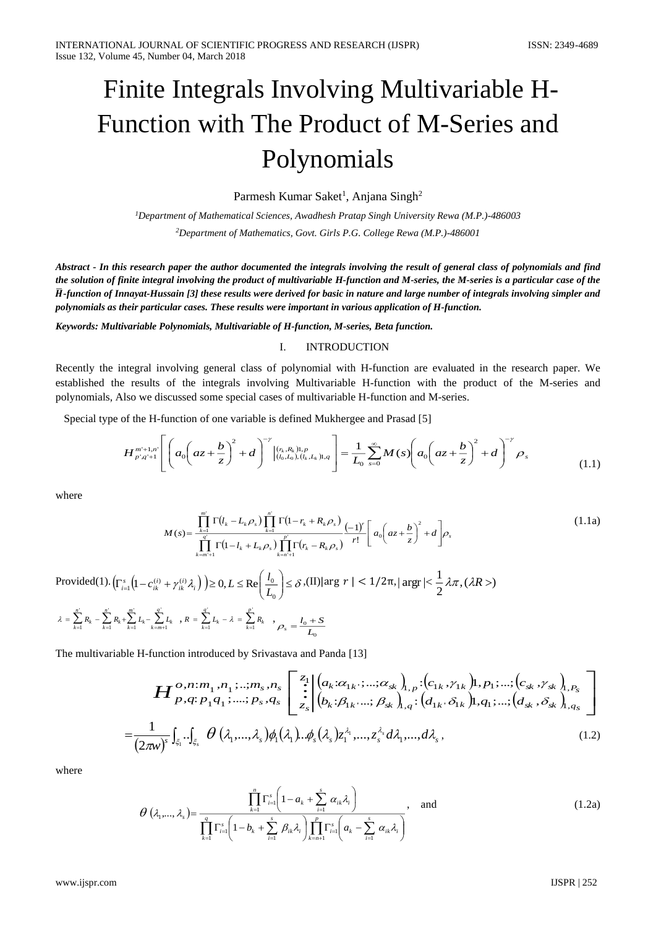# Finite Integrals Involving Multivariable H-Function with The Product of M-Series and Polynomials

Parmesh Kumar Saket<sup>1</sup>, Anjana Singh<sup>2</sup>

*<sup>1</sup>Department of Mathematical Sciences, Awadhesh Pratap Singh University Rewa (M.P.)-486003 <sup>2</sup>Department of Mathematics, Govt. Girls P.G. College Rewa (M.P.)-486001*

*Abstract - In this research paper the author documented the integrals involving the result of general class of polynomials and find the solution of finite integral involving the product of multivariable H-function and M-series, the M-series is a particular case of the*  ̅*-function of Innayat-Hussain [3] these results were derived for basic in nature and large number of integrals involving simpler and polynomials as their particular cases. These results were important in various application of H-function.*

*Keywords: Multivariable Polynomials, Multivariable of H-function, M-series, Beta function.*

# I. INTRODUCTION

Recently the integral involving general class of polynomial with H-function are evaluated in the research paper. We established the results of the integrals involving Multivariable H-function with the product of the M-series and polynomials, Also we discussed some special cases of multivariable H-function and M-series.

Special type of the H-function of one variable is defined Mukhergee and Prasad [5]

$$
H_{p'q'+1}^{m'+1,n'}\left[\left(a_0\left(az+\frac{b}{z}\right)^2+d\right)^{-\gamma}\Big|_{(l_0,L_0),(l_k,L_k)1,q}^{(r_k,R_k)1,p}\right]=\frac{1}{L_0}\sum_{s=0}^{\infty}M(s)\left(a_0\left(az+\frac{b}{z}\right)^2+d\right)^{-\gamma}\rho_s\tag{1.1}
$$

where

$$
M(s) = \frac{\prod_{k=1}^{m} \Gamma(l_k - L_k \rho_s) \prod_{k=1}^{n} \Gamma(1 - r_k + R_k \rho_s)}{\prod_{k=m+1}^{q} \Gamma(1 - l_k + L_k \rho_s) \prod_{k=n+1}^{p} \Gamma(r_k - R_k \rho_s)} \frac{(-1)^r}{r!} \left[ a_0 \left( az + \frac{b}{z} \right)^2 + d \right] \rho_s
$$
\n(1.1a)

Provided(1).  $\left(\Gamma_{i=1}^s \left(1 - c_{ik}^{(i)} + \gamma_{ik}^{(i)} \lambda_i\right)\right) \ge 0, L \le \text{Re}\left(\frac{l_0}{L_0}\right) \le \delta$ )  $\overline{\phantom{a}}$ l  $\left(\Gamma_{i=1}^s \left(1 - c_{ik}^{(i)} + \gamma_{ik}^{(i)} \lambda_i\right)\right) \ge 0, L \le \text{Re}\left(\frac{l_0}{L_0}\right)$  $\gamma_1 \left( 1 - c_{ik}^{(i)} + \gamma_{ik}^{(i)} \lambda_i \right) \geq 0, L \leq \text{Re} \left[ \frac{\tau_0}{L} \right]$  $\int_{t=1}^{s} (1-c_{ik}^{(i)} + \gamma_{ik}^{(i)}\lambda_i) \ge 0, L \le \text{Re}\left(\frac{l_0}{l}\right) \le \delta$ , (II)|arg  $r < 1/2\pi$ , | arg  $\lt \frac{1}{2}\lambda\pi$ , ( $\lambda R > 0$ 2  $|\arg r| < \frac{1}{2} \lambda \pi$ ,  $(\lambda R >$  $= \sum_{k=1} R_k - \sum_{k=1} R_k + \sum_{k=1} L_k - \sum_{k=m+1}$ ' 1 ' 1 ' 1 ' 1  $\sum_{k=m+1} L_k$ *m*  $\sum_{k=1}^{L}$  $\sum_{k=1}^{\infty}$ *n*  $\lambda = \sum_{k=1}^n R_k - \sum_{k=1}^n R_k + \sum_{k=1}^n L_k - \sum_{k=m+1}^n L_k$  ,  $R = \sum_{k=1}^n L_k - \lambda = \sum_{k=1}^n L_k$ *p*  $\sum_{k=1}^{\infty}$ *q*  $R = \sum_{k=1}^{n} L_k - \lambda = \sum_{k=1}^{n} R_k$  ,  $\rho_s = \frac{l_0 + l_1}{L}$ 0  $\rho_s = \frac{l_0 + S}{I}$ 

The multivariable H-function introduced by Srivastava and Panda [13]

$$
\boldsymbol{H}_{p,q:p_{1}q_{1};...,p_{s},q_{s}}^{o,n;m_{1},n_{1};...,m_{s},n_{s}}\begin{bmatrix}z_{1} \ z_{1} \ \vdots \ z_{s} \end{bmatrix}\begin{bmatrix} a_{k}:\alpha_{1k},...,a_{sk} \ b_{1,p}:(c_{1k},\gamma_{1k})1,p_{1};...;(c_{sk},\gamma_{sk})_{1,P_{s}} \\ b_{k}:\beta_{1k},..., \beta_{sk}\end{bmatrix}_{1,q}:(d_{1k},\delta_{1k})1,q_{1};...;(d_{sk},\delta_{sk})_{1,q_{s}}\begin{bmatrix}1 \ -\frac{1}{(2\pi w)^{s}}\int_{\xi_{1}}...\int_{\xi_{s}}\theta\left(\lambda_{1},\ldots,\lambda_{s}\right)\phi_{1}(\lambda_{1})...\phi_{s}(\lambda_{s})z_{1}^{\lambda_{1}},...,z_{s}^{\lambda_{s}}d\lambda_{1},...,d\lambda_{s},\end{bmatrix}
$$
\n(1.2)

where

$$
\theta\left(\lambda_{1},\ldots,\lambda_{s}\right) = \frac{\prod_{k=1}^{n} \Gamma_{i=1}^{s} \left(1 - a_{k} + \sum_{i=1}^{s} \alpha_{ik}\lambda_{i}\right)}{\prod_{k=1}^{q} \Gamma_{i=1}^{s} \left(1 - b_{k} + \sum_{i=1}^{s} \beta_{ik}\lambda_{i}\right) \prod_{k=n+1}^{p} \Gamma_{i=1}^{s} \left(a_{k} - \sum_{i=1}^{s} \alpha_{ik}\lambda_{i}\right)}, \quad \text{and} \tag{1.2a}
$$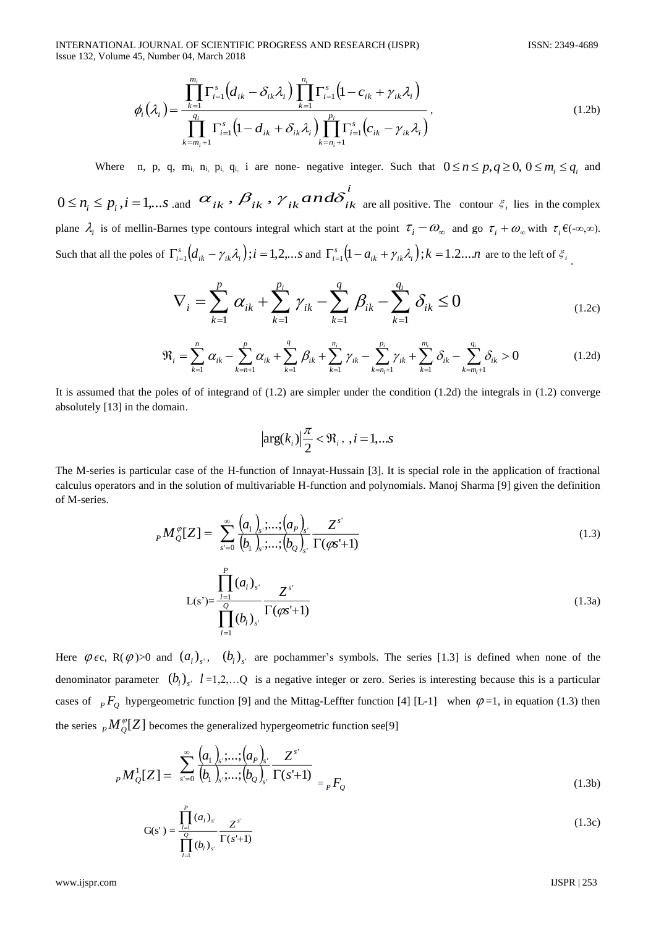INTERNATIONAL JOURNAL OF SCIENTIFIC PROGRESS AND RESEARCH (IJSPR) ISSN: 2349-4689 Issue 132, Volume 45, Number 04, March 2018

$$
\phi_i(\lambda_i) = \frac{\prod_{k=1}^{m_i} \Gamma_{i=1}^s (d_{ik} - \delta_{ik}\lambda_i) \prod_{k=1}^{n_i} \Gamma_{i=1}^s (1 - c_{ik} + \gamma_{ik}\lambda_i)}{\prod_{k=m_i+1}^{q_i} \Gamma_{i=1}^s (1 - d_{ik} + \delta_{ik}\lambda_i) \prod_{k=n_i+1}^{p_i} \Gamma_{i=1}^s (c_{ik} - \gamma_{ik}\lambda_i)},
$$
\n(1.2b)

Where n, p, q, m<sub>i</sub>, n<sub>i</sub>, p<sub>i</sub>, q<sub>i</sub>, i are none- negative integer. Such that  $0 \le n \le p, q \ge 0, 0 \le m_i \le q_i$  and

 $0 \le n_i \le p_i$ ,  $i = 1,...s$  .and  $\alpha_{ik}$ ,  $\beta_{ik}$ ,  $\gamma_{ik}$  and  $\delta_{ik}$  are all positive. The contour  $\xi_i$  lies in the complex plane  $\lambda_i$  is of mellin-Barnes type contours integral which start at the point  $\tau_i - \omega_{\infty}$  and go  $\tau_i + \omega_{\infty}$  with  $\tau_i \in (-\infty, \infty)$ . Such that all the poles of  $\Gamma_{i=1}^s \big(d_{ik} - \gamma_{ik} \lambda_i\big)$ ;  $i = 1, 2, \ldots s$  $\Gamma_{i=1}^{s} (d_{ik} - \gamma_{ik} \lambda_i); i = 1, 2, \dots s$  and  $\Gamma_{i=1}^{s} (1 - a_{ik} + \gamma_{ik} \lambda_i); k = 1, 2, \dots n$  are to the left of  $\xi_i$ .

$$
\nabla_{i} = \sum_{k=1}^{p} \alpha_{ik} + \sum_{k=1}^{p_{i}} \gamma_{ik} - \sum_{k=1}^{q} \beta_{ik} - \sum_{k=1}^{q_{i}} \delta_{ik} \le 0
$$
\n(1.2c)

$$
\mathfrak{R}_{i} = \sum_{k=1}^{n} \alpha_{ik} - \sum_{k=n+1}^{p} \alpha_{ik} + \sum_{k=1}^{q} \beta_{ik} + \sum_{k=1}^{n_{i}} \gamma_{ik} - \sum_{k=n_{i}+1}^{p_{i}} \gamma_{ik} + \sum_{k=1}^{m_{i}} \delta_{ik} - \sum_{k=m_{i}+1}^{q_{i}} \delta_{ik} > 0
$$
\n(1.2d)

It is assumed that the poles of of integrand of  $(1.2)$  are simpler under the condition  $(1.2d)$  the integrals in  $(1.2)$  converge absolutely [13] in the domain.

$$
\left|\arg(k_i)\right|\frac{\pi}{2} < \Re_i, \ i = 1, \dots s
$$

The M-series is particular case of the H-function of Innayat-Hussain [3]. It is special role in the application of fractional calculus operators and in the solution of multivariable H-function and polynomials. Manoj Sharma [9] given the definition of M-series.

$$
{}_{P}M_{Q}^{\varphi}[Z] = \sum_{s'=0}^{\infty} \frac{(a_{1})_{s'}; \dots; (a_{P})_{s'}}{(b_{1})_{s'}; \dots; (b_{Q})_{s'}} \frac{Z^{s'}}{\Gamma(\varphi s'+1)}
$$
(1.3)

$$
L(s^*) = \frac{\prod_{l=1}^P (a_l)_{s^*}}{\prod_{l=1}^Q (b_l)_{s^*}} \frac{Z^{s^*}}{\Gamma(\varphi s^* + 1)}
$$
(1.3a)

(a)  $\frac{1}{2}$ <br>
Where  $\ln p_1$ ,  $\ln p_2$  (1.4)  $\frac{1}{2}$ ,  $\ln p_1$  (b) is a controlled to the set of  $\ln p_2$  (1.3)<br>
Where  $\ln p_1$ ,  $\ln p_2$  a, i. are one regulate images, Such that  $0 \le n \le p_1 q \ge 0, 0 \le n_1 \le q_2$  and<br>  $0 \le n_1 \le p$ Here  $\varphi$   $\epsilon$ c, R $(\varphi)$  > 0 and  $(a_i)_{s'}$ ,  $(b_i)_{s'}$  are pochammer's symbols. The series [1.3] is defined when none of the denominator parameter  $(b_l)_{s_l}$   $l = 1, 2, \dots$ Q is a negative integer or zero. Series is interesting because this is a particular cases of  ${}_{P}F_{Q}$  hypergeometric function [9] and the Mittag-Leffter function [4] [L-1] when  $\varphi$ =1, in equation (1.3) then the series  $_{P}M_{Q}^{\varphi}[Z]$  becomes the generalized hypergeometric function see[9]

$$
{}_{P}M_{Q}^{1}[Z] = \sum_{s'=0}^{\infty} \frac{(a_{1})_{s'}; \dots; (a_{P})_{s'}}{(b_{1})_{s'}; \dots; (b_{Q})_{s'}} \frac{Z^{s'}}{\Gamma(s'+1)} = {}_{P}F_{Q}
$$
(1.3b)

$$
G(s') = \frac{\prod_{i=1}^{P} (a_i)_{s'}}{\prod_{l=1}^{Q} (b_l)_{s'}} \frac{Z^{s'}}{\Gamma(s'+1)}
$$
(1.3c)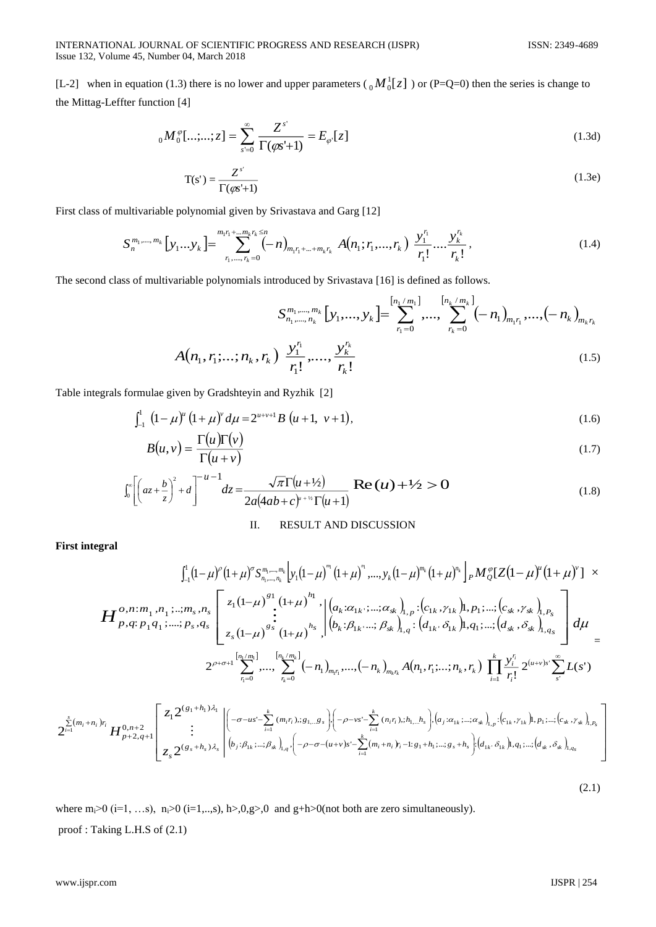[L-2] when in equation (1.3) there is no lower and upper parameters ( $_0M_0^1[z]$ ) or (P=Q=0) then the series is change to the Mittag-Leffter function [4]

$$
{}_{0}M^{\varphi}_{0}[\ldots;\ldots;z] = \sum_{s=0}^{\infty} \frac{Z^{s}}{\Gamma(\varphi s^{t}+1)} = E_{\varphi}\left[z\right]
$$
\n(1.3d)

$$
T(s') = \frac{Z^{s'}}{\Gamma(\varphi s' + 1)}
$$
(1.3e)

First class of multivariable polynomial given by Srivastava and Garg [12]

$$
S_n^{m_1,\dots,m_k}\left[y_1\ldots y_k\right] = \sum_{r_1,\dots,r_k=0}^{m_1r_1+\ldots m_kr_k\leq n} (-n)_{m_1r_1+\ldots+m_kr_k} A(n_1;r_1,\dots,r_k) \frac{y_1^{r_1}}{r_1!} \ldots \frac{y_k^{r_k}}{r_k!},
$$
\n(1.4)

The second class of multivariable polynomials introduced by Srivastava [16] is defined as follows.

$$
S_{n_1,\dots,n_k}^{m_1,\dots,m_k} [y_1,\dots,y_k] = \sum_{r_1=0}^{\left[n_1/m_1\right]} \dots, \sum_{r_k=0}^{\left[n_k/m_k\right]} (-n_1)_{m_1 r_1},\dots,(-n_k)_{m_k r_k}
$$

$$
A(n_1,r_1;\dots;n_k,r_k) \frac{y_1^{r_1}}{r_1!},\dots, \frac{y_k^{r_k}}{r_k!}
$$
(1.5)

Table integrals formulae given by Gradshteyin and Ryzhik [2]

$$
\int_{-1}^{1} (1 - \mu)^{u} (1 + \mu)^{v} d\mu = 2^{u+v+1} B(u+1, v+1), \tag{1.6}
$$

$$
B(u, v) = \frac{\Gamma(u)\Gamma(v)}{\Gamma(u+v)}
$$
\n(1.7)

$$
\int_0^{\infty} \left[ \left( az + \frac{b}{z} \right)^2 + d \right]^{-u-1} dz = \frac{\sqrt{\pi} \Gamma(u+1/2)}{2a(4ab+c)^{u+1/2} \Gamma(u+1)} \text{Re}(u) + \frac{1}{2} > 0 \tag{1.8}
$$

## II. RESULT AND DISCUSSION

**First integral** 

$$
\int_{-1}^{1} (1-\mu)^{\rho} (1+\mu)^{\sigma} S_{n_{1},...,n_{k}}^{m_{1},...,m_{k}} \Big[ y_{1}(1-\mu)^{m} (1+\mu)^{n},...,y_{k}(1-\mu)^{m_{k}} (1+\mu)^{n_{k}} \Big]_{P} M_{Q}^{\sigma} [Z(1-\mu)^{\mu} (1+\mu)^{\nu}] \times
$$
\n
$$
H_{P,q:P_{1}q_{1};...,P_{s},q_{s}}^{O,n:m_{1},n_{1};...,m_{s},n_{s}} \Bigg[ z_{1}(1-\mu)^{s_{1}} \Big( 1+\mu)^{h_{1}} \Big] (a_{k}:a_{1k},...,a_{sk})_{1,p}:[c_{1k},\gamma_{1k})1,p_{1};...,[c_{sk},\gamma_{sk})_{1,p_{s}} \Big] d\mu
$$
\n
$$
2^{\rho+\sigma+1} \sum_{r_{1}=0}^{[n_{1}/m_{1}]} \cdots \sum_{r_{k}=0}^{[n_{k}/m_{k}]} (-n_{1})_{m_{l}r_{1}},...,(-n_{k})_{m_{k}r_{k}} A(n_{1},r_{1};...,n_{k},r_{k}) \prod_{i=1}^{k} \frac{y_{i}^{r_{i}}}{r_{i}!} 2^{(u+v)s^{v}} \sum_{s^{i}}^{s_{s}} L(s^{i})
$$
\n
$$
2^{\sum_{i=1}^{k} [n_{i}/m_{i}]} \Bigg[ z_{1}2^{(s_{1}+h_{1})\lambda_{1}} \Bigg[ \Big(-\sigma-u s^{i} - \sum_{i=1}^{k} (m_{i}r_{i}),g_{1...,s} \Big) \Big(-\rho-v s^{i} - \sum_{i=1}^{k} (n_{i}r_{i}),h_{1...}h_{s} \Big) \Big(a_{j}:a_{1k},...,a_{sk})_{1,p};[c_{1k},\gamma_{1k})1,p_{1};...,[c_{sk},\gamma_{k})1,p_{k} \Big] z_{1}2^{(u+v)s^{v}} \sum_{r_{k}=0}^{S} L(s^{i})
$$
\n
$$
Z_{j}^{[m_{j}+n_{l}]1} H_{p+2,q+1}^{0,n+2} \Bigg[ z_{1}2^{(s_{1}+h_{1})\lambda_{1}} \Bigg[ \Big(-\sigma-u s^{i} - \sum_{i=1}^{k} (m_{i}
$$

 $(2.1)$ 

where  $m_i>0$  (i=1, ...s),  $n_i>0$  (i=1,..,s),  $h>0, g>0$  and  $g+h>0$ (not both are zero simultaneously). proof : Taking L.H.S of (2.1)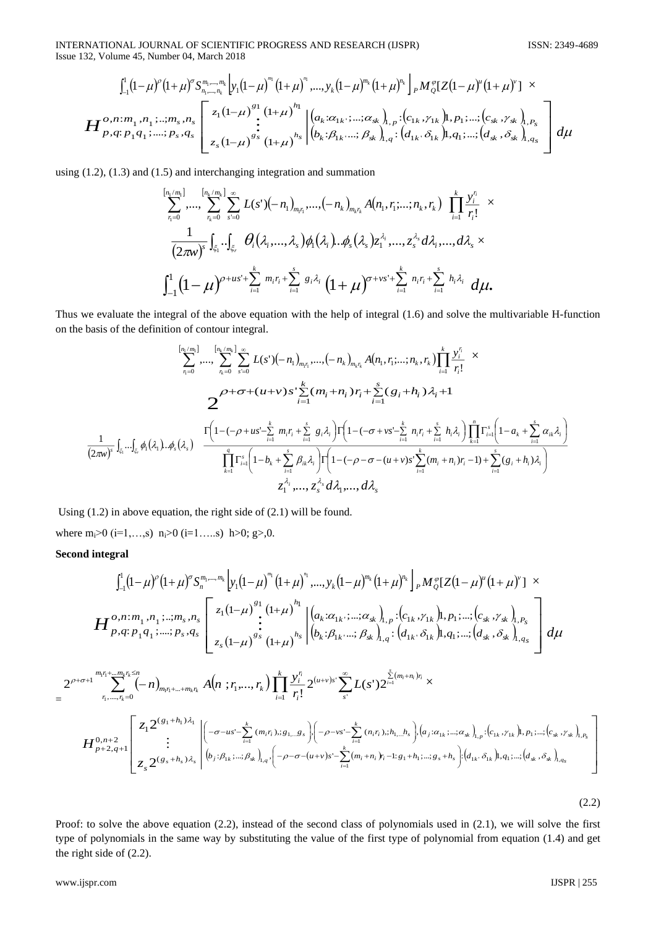INTERNATIONAL JOURNAL OF SCIENTIFIC PROGRESS AND RESEARCH (IJSPR) ISSN: 2349-4689 Issue 132, Volume 45, Number 04, March 2018

$$
H_{p,q;p_{1}q_{1};...,p_{s},q_{s}}^{\int_{-1}^{1} (1-\mu)^{\sigma} (1+\mu)^{\sigma} S_{n_{1},...,n_{k}}^{m_{1},...,m_{k}} \left[ y_{1}(1-\mu)^{m} (1+\mu)^{n_{1}},...,y_{k}(1-\mu)^{m_{k}} (1+\mu)^{n_{k}} \right]_{P} M_{Q}^{\sigma} [Z(1-\mu)^{u} (1+\mu)^{v}] \times
$$
  

$$
H_{p,q;p_{1}q_{1};...,p_{s},q_{s}}^{\sigma, n; m_{1},n_{1};...,m_{s},n_{s}} \left[ z_{1}(1-\mu)^{s_{1}} \left( 1+\mu \right)^{n_{1}} \left[ \left( a_{k}:\alpha_{1k};..., \alpha_{sk} \right)_{1,p}:\left( c_{1k},\gamma_{1k} \right) \right],p_{1};...;\left( c_{sk},\gamma_{sk} \right)_{1,p_{s}} \right] d\mu
$$
  

$$
z_{s}(1-\mu)^{s_{s}} \left[ z_{1}(1-\mu)^{s_{s}} \left( 1+\mu \right)^{n_{s}} \left| \left( b_{k}:\beta_{1k},..., \beta_{sk} \right)_{1,q}:\left( d_{1k},\delta_{1k} \right) \right],q_{1};...;\left( d_{sk},\delta_{sk} \right)_{1,q_{s}} \right] d\mu
$$

using (1.2), (1.3) and (1.5) and interchanging integration and summation

$$
\sum_{r_i=0}^{[n_i/m_i]} \cdots \sum_{r_k=0}^{[n_k/m_k]} \sum_{s=0}^{\infty} L(s^{\prime}) (-n_1)_{m_ir_1}, \ldots, (-n_k)_{m_k r_k} A(n_1, r_i; \ldots; n_k, r_k) \prod_{i=1}^k \frac{y_i^{r_i}}{r_i!} \times \n\frac{1}{(2\pi w)^s} \int_{\xi_1} \cdot \int_{\xi_r} \theta_i(\lambda_i, \ldots, \lambda_s) \phi_1(\lambda_i) \ldots \phi_s(\lambda_s) z_1^{\lambda_i}, \ldots, z_s^{\lambda_s} d\lambda_i, \ldots, d\lambda_s \times \n\int_{-1}^1 (1-\mu)^{\rho+us^+} \sum_{i=1}^k m_i r_i + \sum_{i=1}^s g_i \lambda_i (1+\mu)^{\sigma+vs^+} \sum_{i=1}^k n_i r_i + \sum_{i=1}^s h_i \lambda_i d\mu.
$$

Thus we evaluate the integral of the above equation with the help of integral (1.6) and solve the multivariable H-function on the basis of the definition of contour integral.

$$
\sum_{r_i=0}^{[n_i/m_i]} \cdots \sum_{r_k=0}^{[n_k/m_k]} \sum_{s=0}^{\infty} L(s')(-n_1)_{m_ir_i}, \dots, (-n_k)_{m_kr_k} A(n_1, r_i; \dots; n_k, r_k) \prod_{i=1}^k \frac{y_i^{r_i}}{r_i!} \times \sum_{i=1}^{\infty} (-r_i + \sigma + (u+v)s') \sum_{i=1}^k (m_i + n_i) r_i + \sum_{i=1}^s (g_i + h_i) \lambda_i + 1
$$
  

$$
\sum_{r_i=0}^{2^{k-1}} \sum_{s=0}^{\infty} \frac{(-1 - (-\rho + u s') \sum_{i=1}^k m_i r_i + \sum_{i=1}^s g_i \lambda_i) \Gamma(1 - (-\sigma + v s') \sum_{i=1}^k n_i r_i + \sum_{i=1}^s h_i \lambda_i) \prod_{k=1}^n \Gamma_{i=1}^s \left(1 - a_k + \sum_{i=1}^s \alpha_i \lambda_i\right)}{\prod_{k=1}^s \Gamma_{i=1}^s \left(1 - b_k + \sum_{i=1}^s \beta_i \lambda_i\right) \Gamma(1 - (-\rho - \sigma - (u+v)s') \sum_{i=1}^k (m_i + n_i) r_i - 1) + \sum_{i=1}^s (g_i + h_i) \lambda_i}
$$
  

$$
Z_1^{\lambda_i}, \dots, Z_s^{\lambda_s} d\lambda_1, \dots, d\lambda_s
$$

Using (1.2) in above equation, the right side of (2.1) will be found.

where  $m_i>0$  (i=1,...,s)  $n_i>0$  (i=1,...,s)  $h>0$ ; g>,0.

# **Second integral**

=

$$
\int_{-1}^{1} (1-x)^{n} (1+x)^{n} S_{n_{1}-n_{1}}^{m_{1}+n_{2}} [y_{1}(1-x)^{n} (1+x)^{n} \dots y_{n} (1-x)^{n} (1+x)^{n} \Bigg[ x_{n} \frac{1}{2} \sum_{i=1}^{n} (1-x)^{n} (1+x)^{n} \Bigg] x_{n} \frac{1}{2} \sum_{i=1}^{n} (1-x)^{n} (1+x)^{n} \Bigg[ \frac{1}{2} \sum_{i=1}^{n} (1-x)^{n} (1+x)^{n} \Bigg[ \frac{1}{2} \sum_{i=1}^{n} (1-x)^{n} (1+x)^{n} \Bigg[ \frac{1}{2} \sum_{i=1}^{n} (1-x)^{n} (1+x)^{n} \Bigg] x_{n} \frac{1}{2} \sum_{i=1}^{n} (1-x)^{n} (1+x)^{n} \Bigg[ \frac{1}{2} \sum_{i=1}^{n} (1-x)^{n} (1+x)^{n} \Bigg] x_{n} \frac{1}{2} \sum_{i=1}^{n} (1-x)^{n} (1+x)^{n} \Bigg[ \frac{1}{2} \sum_{i=1}^{n} (1-x)^{n} (1+x)^{n} \Bigg] x_{n} \frac{1}{2} \sum_{i=1}^{n} (1-x)^{n} (1+x)^{n} \Bigg[ \frac{1}{2} \sum_{i=1}^{n} (1-x)^{n} (1+x)^{n} \Bigg] x_{n} \frac{1}{2} \sum_{i=1}^{n} (1-x)^{n} (1+x)^{n} \Bigg] x_{n} \frac{1}{2} \sum_{i=1}^{n} (1-x)^{n} (1+x)^{n} \Bigg] x_{n} \frac{1}{2} \sum_{i=1}^{n} (1-x)^{n} (1+x)^{n} \Bigg[ \frac{1}{2} \sum_{i=1}^{n} (1-x)^{n} (1+x)^{n} \Bigg] x_{n} \frac{1}{2} \sum_{i=1}^{n} (1-x)^{n} (1+x)^{n} \Bigg] x_{n} \frac{1}{2} \sum_{i=1}^{n} (1-x)^{n} (1+x)^{n} \Bigg] x_{n} \frac{1}{2} \sum_{i=1}^{n} (1-x)^{n} (1+x)^{n} \Bigg] x
$$

(2.2)

Proof: to solve the above equation (2.2), instead of the second class of polynomials used in (2.1), we will solve the first type of polynomials in the same way by substituting the value of the first type of polynomial from equation (1.4) and get the right side of (2.2).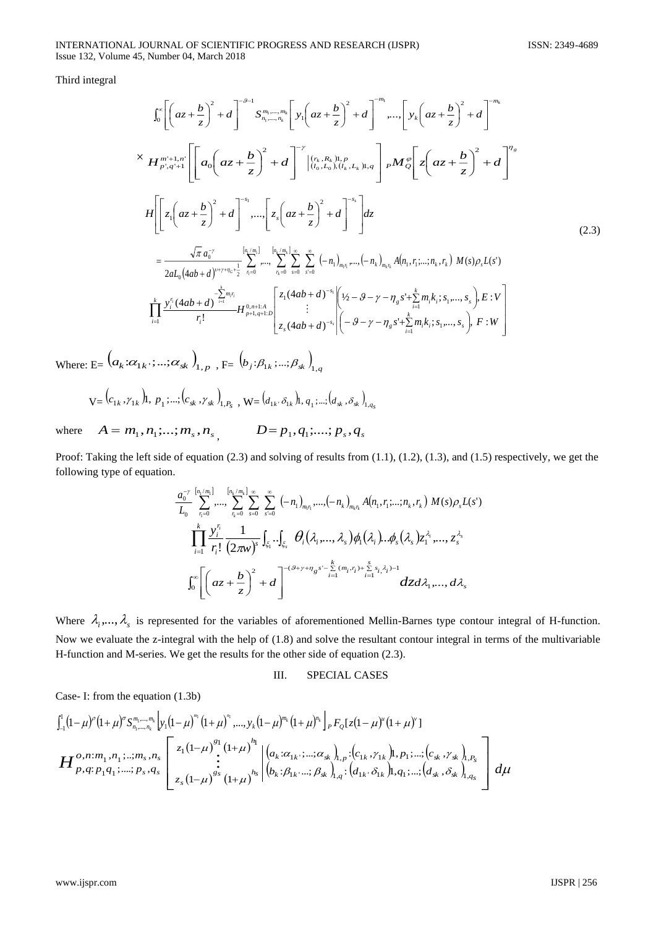Third integral

$$
\int_{0}^{\infty} \left[ \left( az + \frac{b}{z} \right)^{2} + d \right]^{-\theta-1} S_{n_{1},...,n_{k}}^{m_{1},...,m_{k}} \left[ y_{1} \left( az + \frac{b}{z} \right)^{2} + d \right]^{-m_{k}},..., \left[ y_{k} \left( az + \frac{b}{z} \right)^{2} + d \right]^{-m_{k}}
$$
\n
$$
\times H_{p',q'+1}^{m'+1,n'} \left[ \left[ a_{0} \left( az + \frac{b}{z} \right)^{2} + d \right]^{-\gamma} \left[ \left( r_{k}, R_{k} \right) \right]_{l}, p M_{0}^{\sigma} \left[ z \left( az + \frac{b}{z} \right)^{2} + d \right]^{-\gamma_{s}}
$$
\n
$$
H \left[ z_{1} \left( az + \frac{b}{z} \right)^{2} + d \right]^{-s_{1}},..., \left[ z_{s} \left( az + \frac{b}{z} \right)^{2} + d \right]^{-s_{s}} \right] dz
$$
\n
$$
= \frac{\sqrt{\pi} a_{0}^{-\gamma}}{2a L_{0} (4ab + d)^{p+\gamma n_{0}+\frac{1}{2}}} \sum_{n=0}^{\lfloor n_{1}, m_{1} \rfloor} \left[ \sum_{n=0}^{\lfloor n_{k}, m_{k} \rfloor} \sum_{n=0}^{\lfloor n_{k}, m_{k} \rfloor} \sum_{s=0}^{\lfloor n_{k}, m_{k} \rfloor} \sum_{s=0}^{\lfloor n_{k}, m_{k} \rfloor} \sum_{s=0}^{\lfloor n_{k}, m_{k} \rfloor} \left( -n_{1} \right)_{m_{k}r_{k}} A(n_{1}, r_{1};...,n_{k}, r_{k}) M(s) \rho_{s} L(s')
$$
\n
$$
\prod_{i=1}^{k} \frac{y_{i}^{r_{i}} (4ab + d)^{-\frac{k}{n+1}}}{r_{i}!} H_{p+1,q+1,D}^{0,n+1,A} \left[ z_{1} (4ab + d)^{-s_{1}} \left[ \left( y_{2} - \theta - \gamma - \eta_{s} s^{+} + \sum_{i=1}^{k} m_{i} k_{i}; s_{1},...,s_{s} \right) E : V \right]
$$
\n
$$
= \frac{\sqrt{\pi} a_{0}
$$

Where: E=  $(a_k:\!\alpha_{1k}:\!\dots:\!\alpha_{sk})_{1,p}$  , F=  $(b_j:\!\beta_{1k}:\!\dots:\!\beta_{sk})_{1,q}$ 

$$
\mathbf{V} = (c_{1k}, \gamma_{1k})\mathbf{l}, \, p_1; ...; (c_{sk}, \gamma_{sk})_{1, P_s}, \, \mathbf{W} = (d_{1k}, \delta_{1k})\mathbf{l}, \, q_1; ...; (d_{sk}, \delta_{sk})_{1, q_s}
$$

where  $A = m_1, n_1; ...; m_s, n_s,$   $D = p_1, q_1; ...; p_s, q_s$ 

Proof: Taking the left side of equation (2.3) and solving of results from (1.1), (1.2), (1.3), and (1.5) respectively, we get the following type of equation.

$$
\frac{a_0^{-y}}{L_0} \sum_{r_1=0}^{[n_1/m_1]} \cdots \sum_{r_k=0}^{[n_k/m_k]} \sum_{s=0}^{\infty} \sum_{s'=0}^{\infty} (-n_1)_{m_1r_1}, \ldots, (-n_k)_{m_kr_k} A(n_1, r_1; \ldots; n_k, r_k) M(s) \rho_s L(s')
$$
\n
$$
\prod_{i=1}^k \frac{y_i^{r_i}}{r_i!} \frac{1}{(2\pi w)^s} \int_{\xi_1} \cdots \int_{\xi_s} \theta_i(\lambda_i, \ldots, \lambda_s) \phi_1(\lambda_i) \ldots \phi_s(\lambda_s) z_1^{\lambda_i}, \ldots, z_s^{\lambda_s}
$$
\n
$$
\int_0^{\infty} \left[ \left( az + \frac{b}{z} \right)^2 + d \right]^{-(9+\gamma+n_g s' - \sum\limits_{i=1}^k (m_i, r_i) + \sum\limits_{i=1}^s s_i, \lambda_i) - 1} dz d\lambda_1, \ldots, d\lambda_s
$$

Where  $\lambda_i, \ldots, \lambda_s$  is represented for the variables of aforementioned Mellin-Barnes type contour integral of H-function. Now we evaluate the z-integral with the help of (1.8) and solve the resultant contour integral in terms of the multivariable H-function and M-series. We get the results for the other side of equation (2.3).

## III. SPECIAL CASES

Case- I: from the equation (1.3b)

$$
\begin{split}\n&\int_{-1}^{1} (1-\mu)^{\rho} (1+\mu)^{\sigma} S_{n_{1},...,n_{k}}^{m_{1},...,m_{k}} \Big| y_{1} (1-\mu)^{m_{1}} (1+\mu)^{n_{1}},...,y_{k} (1-\mu)^{m_{k}} (1+\mu)^{n_{k}} \Big|_{P} F_{Q} [z(1-\mu)^{\mu} (1+\mu)^{\nu}] \\
&= \boldsymbol{H}_{P,q;P_{1}q_{1}}^{O,n;m_{1},n_{1}};...,m_{s},n_{s} \Bigg[ z_{1} (1-\mu)^{s_{1}} \Big| (1+\mu)^{n_{1}} \Big| (a_{k} : \alpha_{1k},..., \alpha_{sk})_{1,p} : (c_{1k}, \gamma_{1k}) 1, p_{1};..., (c_{sk}, \gamma_{sk})_{1,p_{s}} \Big| \\\&\vdots \\ z_{s} (1-\mu)^{s_{s}} (1+\mu)^{n_{s}} \Big| (b_{k} : \beta_{1k},..., \beta_{sk})_{1,q} : (d_{1k}, \delta_{1k}) 1, q_{1};..., (d_{sk}, \delta_{sk})_{1,q_{s}} \Bigg] d\mu\n\end{split}
$$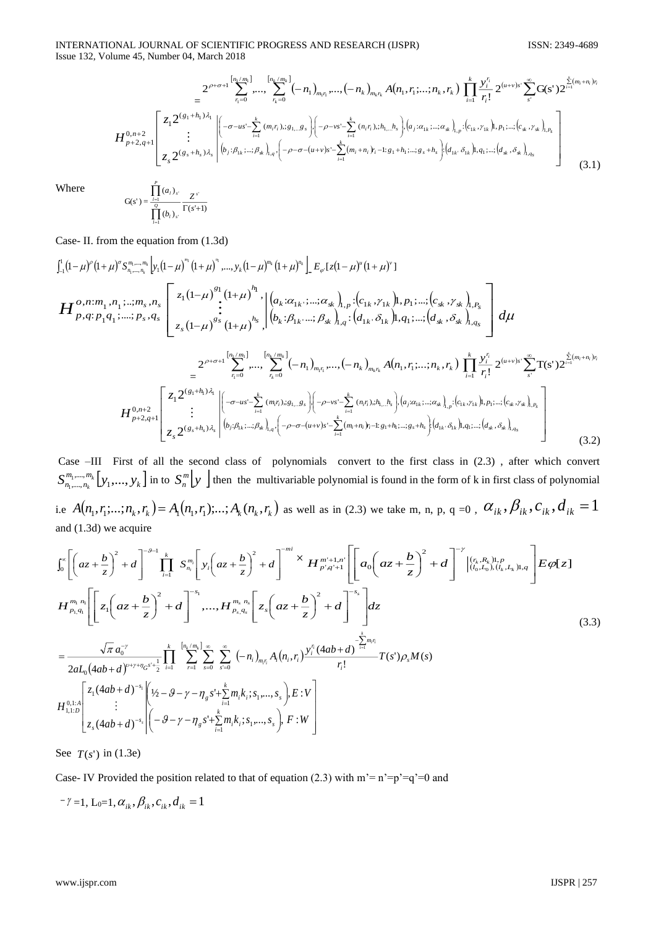$$
H_{p+2,q+1}^{0,n+2}\left[\sum_{\tau_{i}=0}^{2^{(p+\sigma_{+1})}\sum_{i=1}^{k}m_{i}}\cdots,\sum_{\tau_{k}=0}^{k}(-n_{1})_{m_{i}\tau_{i}}\cdots(-n_{k})_{m_{k}r_{k}}A(n_{1},r_{1};\ldots;n_{k},r_{k})\prod_{i=1}^{k}\frac{y_{i}^{r_{i}}}{r_{i}!}2^{(\mu+\nu)s}\sum_{s'}^{\infty}G(s')2^{\sum_{i=1}^{k}(m_{i}+n_{i})r_{i}}\right]
$$
\n
$$
H_{p+2,q+1}^{0,n+2}\left[\sum_{\tau_{s}=0}^{2^{(g_{1}+h_{1})\lambda_{i}}}\left|(-\sigma-\iota s'-\sum_{i=1}^{k}(m_{i}r_{i}),s_{1}\ldots,s_{s})\right|(-\rho-\nu s'-\sum_{i=1}^{k}(n_{i}r_{i}),s_{1}\ldots,s_{s})\cdot(a_{j}\alpha_{1k}\ldots,a_{k})_{1,p}\cdot(c_{1k},r_{1k})1,p_{1}\ldots,(c_{s},r_{s})_{1,p_{s}}\right]
$$
\n
$$
z_{s}2^{(g_{s}+h_{s})\lambda_{s}}\left|b_{j}\cdot\beta_{1k}\ldots,\beta_{s}\right|_{1,q}\cdot\left(-\rho-\sigma-(u+\nu)s'-\sum_{i=1}^{k}(m_{i}+n_{i})r_{i}-1:s_{1}+h_{1}\ldots,s_{s}+h_{s}\right)\cdot(d_{1k}\cdot\delta_{1k})1,q_{1}\ldots,(d_{s},\delta_{s})1_{1,q_{s}}\right]
$$
\n(3.1)

Where

$$
G(s') = \frac{\prod_{i=1}^{s} (a_i)_{s'}}{\prod_{i=1}^{o} (b_i)_{s'}} \frac{Z^{s'}}{\Gamma(s'+1)}
$$

Case- II. from the equation from (1.3d)

$$
H_{p,q;p_{1},...,p_{s},q_{s}}^{0}|_{\mathcal{I}_{-1}}^{1}(\mathbf{1}-\mu)^{p}(\mathbf{1}+\mu)^{\sigma_{s_{m_{1},...,m_{s}}}}|\mathbf{y}_{1}(\mathbf{1}-\mu)^{m_{1}}(\mathbf{1}+\mu)^{n_{1}},...,,\mathbf{y}_{k}(\mathbf{1}-\mu)^{m_{k}}(\mathbf{1}+\mu)^{n_{k}}\right] = E_{\varphi}\left[z_{1}(\mathbf{1}-\mu)^{e}(\mathbf{1}+\mu)^{v}\right]
$$
\n
$$
H_{p,q;p_{1}q_{1},...,;p_{s},q_{s}}^{0}|_{\mathcal{I}_{s}}\left[z_{1}(\mathbf{1}-\mu)^{g_{1}}(\mathbf{1}+\mu)^{h_{1}}\right|\left(a_{k}:\alpha_{1k};...;\alpha_{sk}\right)_{l,p};\left(c_{1k},\gamma_{1k}\right)|_{l,p_{1},...,}(\mathbf{c}_{sk},\gamma_{sk})_{l,p_{s}}\right]d\mu
$$
\n
$$
= \frac{2^{2^{j+\sigma+1}}\sum_{n=0}^{\lfloor n_{1}/m_{1}\rfloor} \cdots \sum_{n=0}^{\lfloor n_{k}/m_{k}\rfloor} (-n_{1})_{m_{1}n} \cdots (-n_{k})_{m_{k}n} A(n_{1},r_{1},...,n_{k},r_{k}) \prod_{i=1}^{k} \frac{\mathbf{y}_{i}^{r_{i}}}{r_{i}!} 2^{(\mu_{i}+v_{j})s} \sum_{s}^{s} \mathbf{T}(s^{r}) 2^{\frac{s}{\mu_{s}}(m_{i}+n_{i})r_{i}}}{\prod_{j=1}^{m_{j},m_{j}} \sum_{r_{j}}^{m_{j}} \sum_{s}^{m_{j}} \mathbf{T}(s^{r}) 2^{\frac{s}{\mu_{s}}(m_{i}+n_{i})r_{i}}}
$$
\n
$$
H_{p+2,q+1}^{0,n+2}\left[\sum_{n=0}^{j} \frac{2^{(g_{1}+h_{1})\lambda_{q}}}{\prod_{j=1}^{j} \sum_{r_{j}} \left| \left(-\sigma - us^{r} \sum_{i=1}^{k} (m_{i}r_{i}),g_{1}...g_{s}\right) \left| \left(-\rho - vs^{r} \sum_{i=1}^{k} (n_{i}
$$

Case –III First of all the second class of polynomials convert to the first class in (2.3) , after which convert  $S^{m_1, ..., m_k}_{n_1, ..., n_k}$   $[y_1, ..., y_k]$  $\sum_{k=1}^{\infty}$  ,  $\sum_{k=1}^{\infty}$  ,  $\sum_{k=1}^{\infty}$ ,...., 1  $\left[ y_1, \ldots, y_k \right]$   $\left[ y_1, \ldots, y_k \right]$  in to  $S_n^m \left[ y_1 \right]$  $\binom{m}{n}$  then the multivariable polynomial is found in the form of k in first class of polynomial i.e  $A(n_1,r_1;...;n_k,r_k)=A_1(n_1,r_1);...;A_k(n_k,r_k)$  as well as in (2.3) we take m, n, p, q =0 ,  $\alpha_{ik},\beta_{ik},c_{ik},d_{ik}=1$ and (1.3d) we acquire

$$
\int_{0}^{\infty} \left[ \left( az + \frac{b}{z} \right)^{2} + d \right]^{-\theta-1} \prod_{i=1}^{k} S_{n_{i}}^{m_{i}} \left[ y_{i} \left( az + \frac{b}{z} \right)^{2} + d \right]^{-mi} \times H_{p^{i}q^{i+1}}^{m^{i+1},n^{i}} \left[ \left[ a_{0} \left( az + \frac{b}{z} \right)^{2} + d \right]^{-\gamma} \left( \frac{(r_{k}, R_{k})! \cdot p_{k}}{(l_{0}, L_{0}), (l_{k}, L_{k})! \cdot q} \right] E \varphi[z] \right]
$$
\n
$$
H_{p_{1},q_{1}}^{m_{1}n_{1}} \left[ z_{1} \left( az + \frac{b}{z} \right)^{2} + d \right]^{-s_{1}}, \dots, H_{p_{s},q_{s}}^{m_{s},n_{s}} \left[ z_{s} \left( az + \frac{b}{z} \right)^{2} + d \right]^{-s_{s}} \right] dz
$$
\n
$$
= \frac{\sqrt{\pi} a_{0}^{-\gamma}}{2a_{0} \left( 4ab + d \right)^{\nu+\gamma+\eta} a_{0}^{-\nu + \frac{1}{2}} \prod_{i=1}^{k} \sum_{j=1}^{\left[ n_{k}/m_{k} \right] \cdot \infty} \sum_{s=0}^{\infty} \sum_{s=0}^{\infty} (-n_{i})_{m_{i}n_{i}} A_{i} (n_{i}, r_{i}) \frac{y_{i}^{n} (4ab + d)^{\frac{1}{n-1}}}{r_{i}!} T(s^{\prime}) \rho_{s} M(s)
$$
\n
$$
H_{1,1:D}^{0,1:A} \left[ z_{1} (4ab + d)^{-s_{1}} \left( \frac{1}{2} - \theta - \gamma - \eta_{s} s^{1} + \sum_{i=1}^{k} m_{i}k_{i}; s_{1}, \dots, s_{s} \right), E : V \right]
$$
\n
$$
z_{s} (4ab + d)^{-s_{s}} \left[ -\theta - \gamma - \eta_{s} s^{1} + \sum_{i=1}^{k} m_{i}k_{i}; s_{1}, \dots, s_{s} \right), F : W \right]
$$
\n(3.3)

See  $T(s')$  in (1.3e)

Case- IV Provided the position related to that of equation (2.3) with  $m = n' = p' = q' = 0$  and

$$
^{-\gamma}=1,\mathrm{L}_{0}=1,\alpha_{ik},\beta_{ik},c_{ik},d_{ik}=1
$$